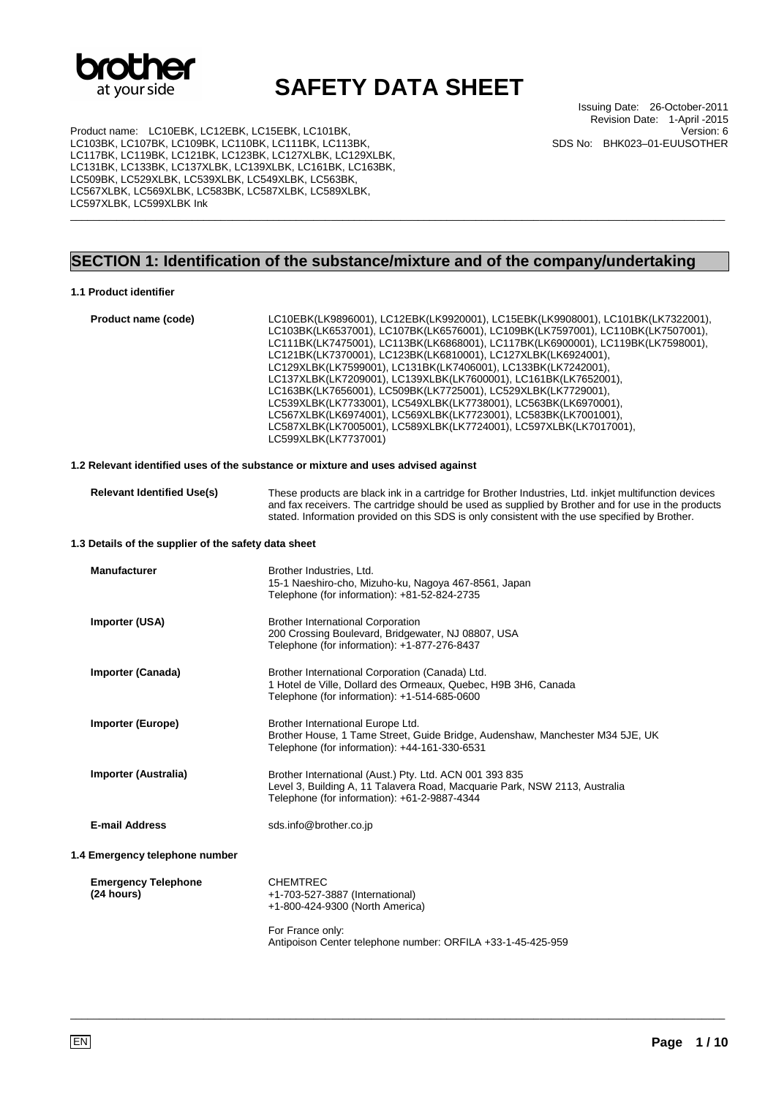

Product name: LC10EBK, LC12EBK, LC15EBK, LC101BK, LC103BK, LC107BK, LC109BK, LC110BK, LC111BK, LC113BK, LC117BK, LC119BK, LC121BK, LC123BK, LC127XLBK, LC129XLBK, LC131BK, LC133BK, LC137XLBK, LC139XLBK, LC161BK, LC163BK, LC509BK, LC529XLBK, LC539XLBK, LC549XLBK, LC563BK, LC567XLBK, LC569XLBK, LC583BK, LC587XLBK, LC589XLBK, LC597XLBK, LC599XLBK Ink

Issuing Date: 26-October-2011 Revision Date: 1-April -2015 Version: 6 SDS No: BHK023–01-EUUSOTHER

## **SECTION 1: Identification of the substance/mixture and of the company/undertaking**

\_\_\_\_\_\_\_\_\_\_\_\_\_\_\_\_\_\_\_\_\_\_\_\_\_\_\_\_\_\_\_\_\_\_\_\_\_\_\_\_\_\_\_\_\_\_\_\_\_\_\_\_\_\_\_\_\_\_\_\_\_\_\_\_\_\_\_\_\_\_\_\_\_\_\_\_\_\_\_\_\_\_\_\_\_\_\_\_\_\_\_\_\_\_\_\_\_\_\_\_\_\_\_\_\_\_\_\_\_\_\_\_\_

#### **1.1 Product identifier**

| Product name (code)                                  | LC10EBK(LK9896001), LC12EBK(LK9920001), LC15EBK(LK9908001), LC101BK(LK7322001),<br>LC103BK(LK6537001), LC107BK(LK6576001), LC109BK(LK7597001), LC110BK(LK7507001),<br>LC111BK(LK7475001), LC113BK(LK6868001), LC117BK(LK6900001), LC119BK(LK7598001),<br>LC121BK(LK7370001), LC123BK(LK6810001), LC127XLBK(LK6924001),<br>LC129XLBK(LK7599001), LC131BK(LK7406001), LC133BK(LK7242001),<br>LC137XLBK(LK7209001), LC139XLBK(LK7600001), LC161BK(LK7652001),<br>LC163BK(LK7656001), LC509BK(LK7725001), LC529XLBK(LK7729001),<br>LC539XLBK(LK7733001), LC549XLBK(LK7738001), LC563BK(LK6970001),<br>LC567XLBK(LK6974001), LC569XLBK(LK7723001), LC583BK(LK7001001),<br>LC587XLBK(LK7005001), LC589XLBK(LK7724001), LC597XLBK(LK7017001),<br>LC599XLBK(LK7737001) |  |  |
|------------------------------------------------------|----------------------------------------------------------------------------------------------------------------------------------------------------------------------------------------------------------------------------------------------------------------------------------------------------------------------------------------------------------------------------------------------------------------------------------------------------------------------------------------------------------------------------------------------------------------------------------------------------------------------------------------------------------------------------------------------------------------------------------------------------------------|--|--|
|                                                      | 1.2 Relevant identified uses of the substance or mixture and uses advised against                                                                                                                                                                                                                                                                                                                                                                                                                                                                                                                                                                                                                                                                              |  |  |
| <b>Relevant Identified Use(s)</b>                    | These products are black ink in a cartridge for Brother Industries, Ltd. inkjet multifunction devices<br>and fax receivers. The cartridge should be used as supplied by Brother and for use in the products<br>stated. Information provided on this SDS is only consistent with the use specified by Brother.                                                                                                                                                                                                                                                                                                                                                                                                                                                  |  |  |
| 1.3 Details of the supplier of the safety data sheet |                                                                                                                                                                                                                                                                                                                                                                                                                                                                                                                                                                                                                                                                                                                                                                |  |  |
| <b>Manufacturer</b>                                  | Brother Industries, Ltd.<br>15-1 Naeshiro-cho, Mizuho-ku, Nagoya 467-8561, Japan<br>Telephone (for information): +81-52-824-2735                                                                                                                                                                                                                                                                                                                                                                                                                                                                                                                                                                                                                               |  |  |
| Importer (USA)                                       | <b>Brother International Corporation</b><br>200 Crossing Boulevard, Bridgewater, NJ 08807, USA<br>Telephone (for information): +1-877-276-8437                                                                                                                                                                                                                                                                                                                                                                                                                                                                                                                                                                                                                 |  |  |
| Importer (Canada)                                    | Brother International Corporation (Canada) Ltd.<br>1 Hotel de Ville, Dollard des Ormeaux, Quebec, H9B 3H6, Canada<br>Telephone (for information): +1-514-685-0600                                                                                                                                                                                                                                                                                                                                                                                                                                                                                                                                                                                              |  |  |
| <b>Importer (Europe)</b>                             | Brother International Europe Ltd.<br>Brother House, 1 Tame Street, Guide Bridge, Audenshaw, Manchester M34 5JE, UK<br>Telephone (for information): +44-161-330-6531                                                                                                                                                                                                                                                                                                                                                                                                                                                                                                                                                                                            |  |  |
| Importer (Australia)                                 | Brother International (Aust.) Pty. Ltd. ACN 001 393 835<br>Level 3, Building A, 11 Talavera Road, Macquarie Park, NSW 2113, Australia<br>Telephone (for information): +61-2-9887-4344                                                                                                                                                                                                                                                                                                                                                                                                                                                                                                                                                                          |  |  |
| <b>E-mail Address</b>                                | sds.info@brother.co.jp                                                                                                                                                                                                                                                                                                                                                                                                                                                                                                                                                                                                                                                                                                                                         |  |  |
| 1.4 Emergency telephone number                       |                                                                                                                                                                                                                                                                                                                                                                                                                                                                                                                                                                                                                                                                                                                                                                |  |  |
| <b>Emergency Telephone</b><br>(24 hours)             | <b>CHEMTREC</b><br>+1-703-527-3887 (International)<br>+1-800-424-9300 (North America)                                                                                                                                                                                                                                                                                                                                                                                                                                                                                                                                                                                                                                                                          |  |  |
|                                                      | For France only:                                                                                                                                                                                                                                                                                                                                                                                                                                                                                                                                                                                                                                                                                                                                               |  |  |

Antipoison Center telephone number: ORFILA +33-1-45-425-959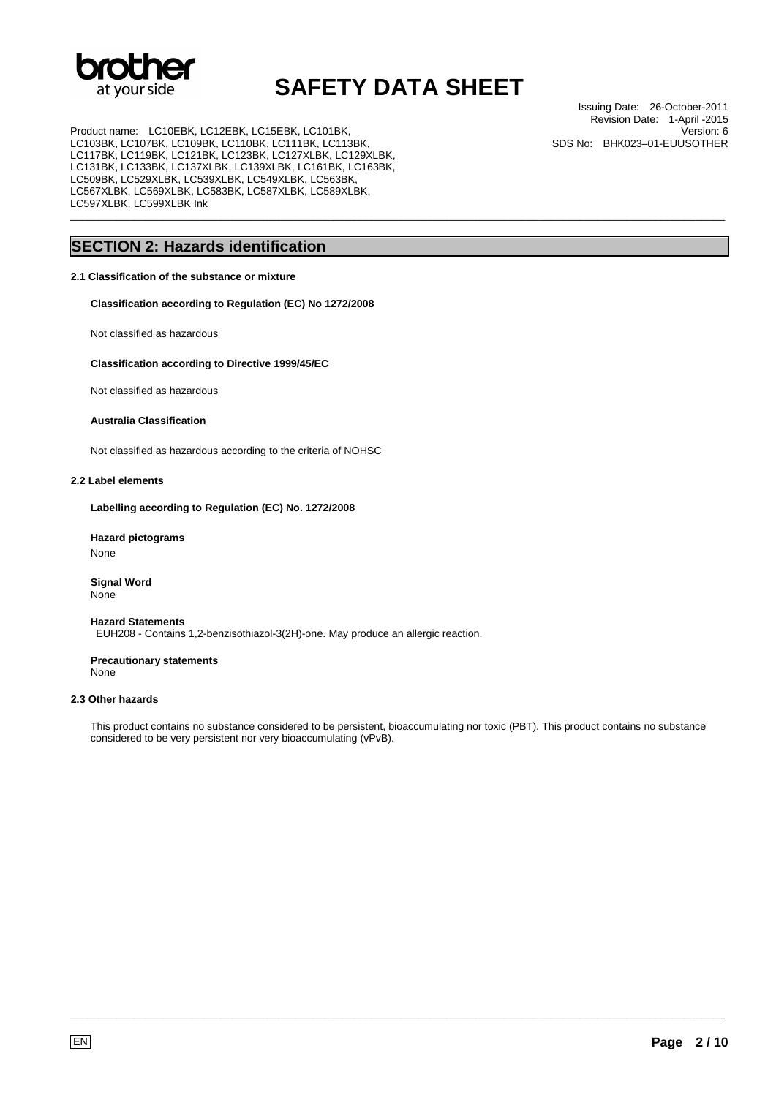

\_\_\_\_\_\_\_\_\_\_\_\_\_\_\_\_\_\_\_\_\_\_\_\_\_\_\_\_\_\_\_\_\_\_\_\_\_\_\_\_\_\_\_\_\_\_\_\_\_\_\_\_\_\_\_\_\_\_\_\_\_\_\_\_\_\_\_\_\_\_\_\_\_\_\_\_\_\_\_\_\_\_\_\_\_\_\_\_\_\_\_\_\_\_\_\_\_\_\_\_\_\_\_\_\_\_\_\_\_\_\_\_\_

Product name: LC10EBK, LC12EBK, LC15EBK, LC101BK, LC103BK, LC107BK, LC109BK, LC110BK, LC111BK, LC113BK, LC117BK, LC119BK, LC121BK, LC123BK, LC127XLBK, LC129XLBK, LC131BK, LC133BK, LC137XLBK, LC139XLBK, LC161BK, LC163BK, LC509BK, LC529XLBK, LC539XLBK, LC549XLBK, LC563BK, LC567XLBK, LC569XLBK, LC583BK, LC587XLBK, LC589XLBK, LC597XLBK, LC599XLBK Ink

### **SECTION 2: Hazards identification**

### **2.1 Classification of the substance or mixture**

**Classification according to Regulation (EC) No 1272/2008** 

Not classified as hazardous

### **Classification according to Directive 1999/45/EC**

Not classified as hazardous

### **Australia Classification**

Not classified as hazardous according to the criteria of NOHSC

### **2.2 Label elements**

**Labelling according to Regulation (EC) No. 1272/2008** 

#### **Hazard pictograms**  None

**Signal Word** None

#### **Hazard Statements** EUH208 - Contains 1,2-benzisothiazol-3(2H)-one. May produce an allergic reaction.

**Precautionary statements** None

### **2.3 Other hazards**

This product contains no substance considered to be persistent, bioaccumulating nor toxic (PBT). This product contains no substance considered to be very persistent nor very bioaccumulating (vPvB).

\_\_\_\_\_\_\_\_\_\_\_\_\_\_\_\_\_\_\_\_\_\_\_\_\_\_\_\_\_\_\_\_\_\_\_\_\_\_\_\_\_\_\_\_\_\_\_\_\_\_\_\_\_\_\_\_\_\_\_\_\_\_\_\_\_\_\_\_\_\_\_\_\_\_\_\_\_\_\_\_\_\_\_\_\_\_\_\_\_\_\_\_\_\_\_\_\_\_\_\_\_\_\_\_\_\_\_\_\_\_\_\_\_

Issuing Date: 26-October-2011 Revision Date: 1-April -2015 Version: 6 SDS No: BHK023–01-EUUSOTHER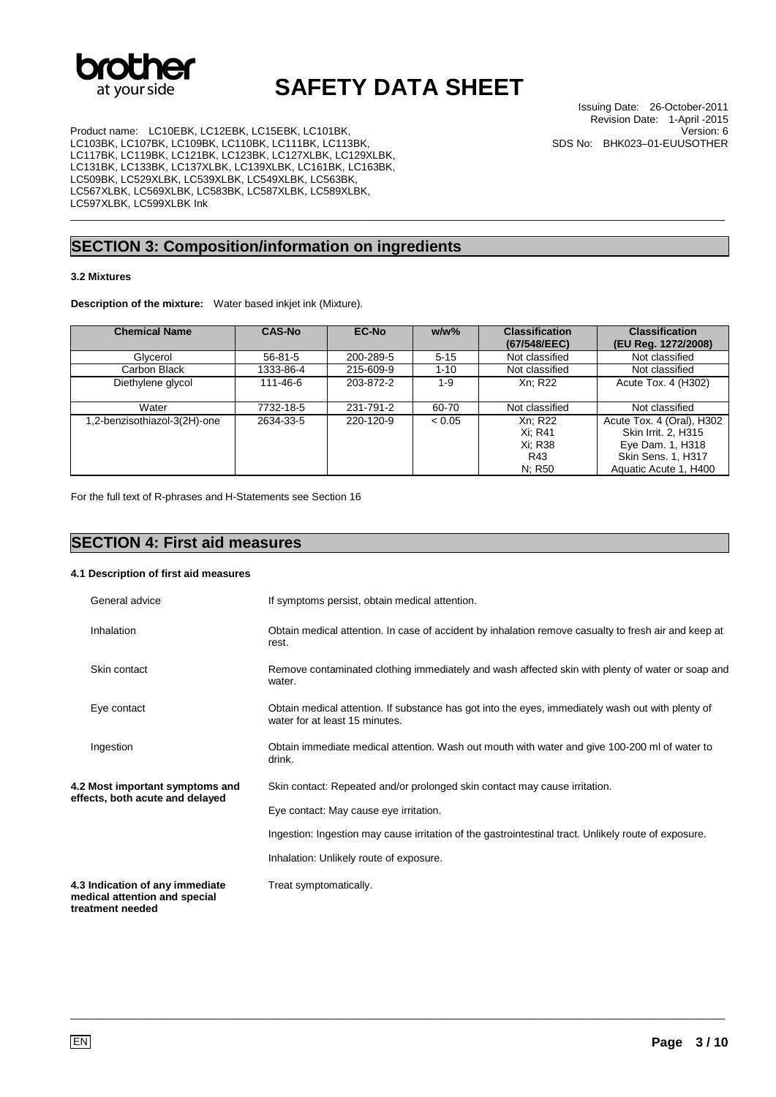

\_\_\_\_\_\_\_\_\_\_\_\_\_\_\_\_\_\_\_\_\_\_\_\_\_\_\_\_\_\_\_\_\_\_\_\_\_\_\_\_\_\_\_\_\_\_\_\_\_\_\_\_\_\_\_\_\_\_\_\_\_\_\_\_\_\_\_\_\_\_\_\_\_\_\_\_\_\_\_\_\_\_\_\_\_\_\_\_\_\_\_\_\_\_\_\_\_\_\_\_\_\_\_\_\_\_\_\_\_\_\_\_\_

Product name: LC10EBK, LC12EBK, LC15EBK, LC101BK, LC103BK, LC107BK, LC109BK, LC110BK, LC111BK, LC113BK, LC117BK, LC119BK, LC121BK, LC123BK, LC127XLBK, LC129XLBK, LC131BK, LC133BK, LC137XLBK, LC139XLBK, LC161BK, LC163BK, LC509BK, LC529XLBK, LC539XLBK, LC549XLBK, LC563BK, LC567XLBK, LC569XLBK, LC583BK, LC587XLBK, LC589XLBK, LC597XLBK, LC599XLBK Ink

## **SECTION 3: Composition/information on ingredients**

#### **3.2 Mixtures**

**Description of the mixture:** Water based inkjet ink (Mixture).

| <b>Chemical Name</b>         | <b>CAS-No</b> | <b>EC-No</b> | $w/w$ %  | <b>Classification</b><br>(67/548/EEC)          | <b>Classification</b><br>(EU Reg. 1272/2008)                                                                               |
|------------------------------|---------------|--------------|----------|------------------------------------------------|----------------------------------------------------------------------------------------------------------------------------|
| Glycerol                     | $56 - 81 - 5$ | 200-289-5    | $5 - 15$ | Not classified                                 | Not classified                                                                                                             |
| Carbon Black                 | 1333-86-4     | 215-609-9    | $1 - 10$ | Not classified                                 | Not classified                                                                                                             |
| Diethylene glycol            | 111-46-6      | 203-872-2    | $1-9$    | Xn: R22                                        | Acute Tox. 4 (H302)                                                                                                        |
| Water                        | 7732-18-5     | 231-791-2    | 60-70    | Not classified                                 | Not classified                                                                                                             |
| 1,2-benzisothiazol-3(2H)-one | 2634-33-5     | 220-120-9    | < 0.05   | Xn: R22<br>Xi: R41<br>Xi: R38<br>R43<br>N; R50 | Acute Tox. 4 (Oral), H302<br>Skin Irrit. 2, H315<br>Eye Dam. 1, H318<br><b>Skin Sens. 1, H317</b><br>Aquatic Acute 1, H400 |

For the full text of R-phrases and H-Statements see Section 16

### **SECTION 4: First aid measures**

#### **4.1 Description of first aid measures**

| General advice                                                                       | If symptoms persist, obtain medical attention.                                                                                      |
|--------------------------------------------------------------------------------------|-------------------------------------------------------------------------------------------------------------------------------------|
| Inhalation                                                                           | Obtain medical attention. In case of accident by inhalation remove casualty to fresh air and keep at<br>rest.                       |
| Skin contact                                                                         | Remove contaminated clothing immediately and wash affected skin with plenty of water or soap and<br>water.                          |
| Eye contact                                                                          | Obtain medical attention. If substance has got into the eyes, immediately wash out with plenty of<br>water for at least 15 minutes. |
| Ingestion                                                                            | Obtain immediate medical attention. Wash out mouth with water and give 100-200 ml of water to<br>drink.                             |
| 4.2 Most important symptoms and<br>effects, both acute and delayed                   | Skin contact: Repeated and/or prolonged skin contact may cause irritation.                                                          |
|                                                                                      | Eye contact: May cause eye irritation.                                                                                              |
|                                                                                      | Ingestion: Ingestion may cause irritation of the gastrointestinal tract. Unlikely route of exposure.                                |
|                                                                                      | Inhalation: Unlikely route of exposure.                                                                                             |
| 4.3 Indication of any immediate<br>medical attention and special<br>treatment needed | Treat symptomatically.                                                                                                              |

\_\_\_\_\_\_\_\_\_\_\_\_\_\_\_\_\_\_\_\_\_\_\_\_\_\_\_\_\_\_\_\_\_\_\_\_\_\_\_\_\_\_\_\_\_\_\_\_\_\_\_\_\_\_\_\_\_\_\_\_\_\_\_\_\_\_\_\_\_\_\_\_\_\_\_\_\_\_\_\_\_\_\_\_\_\_\_\_\_\_\_\_\_\_\_\_\_\_\_\_\_\_\_\_\_\_\_\_\_\_\_\_\_

Issuing Date: 26-October-2011 Revision Date: 1-April -2015

SDS No: BHK023–01-EUUSOTHER

Version: 6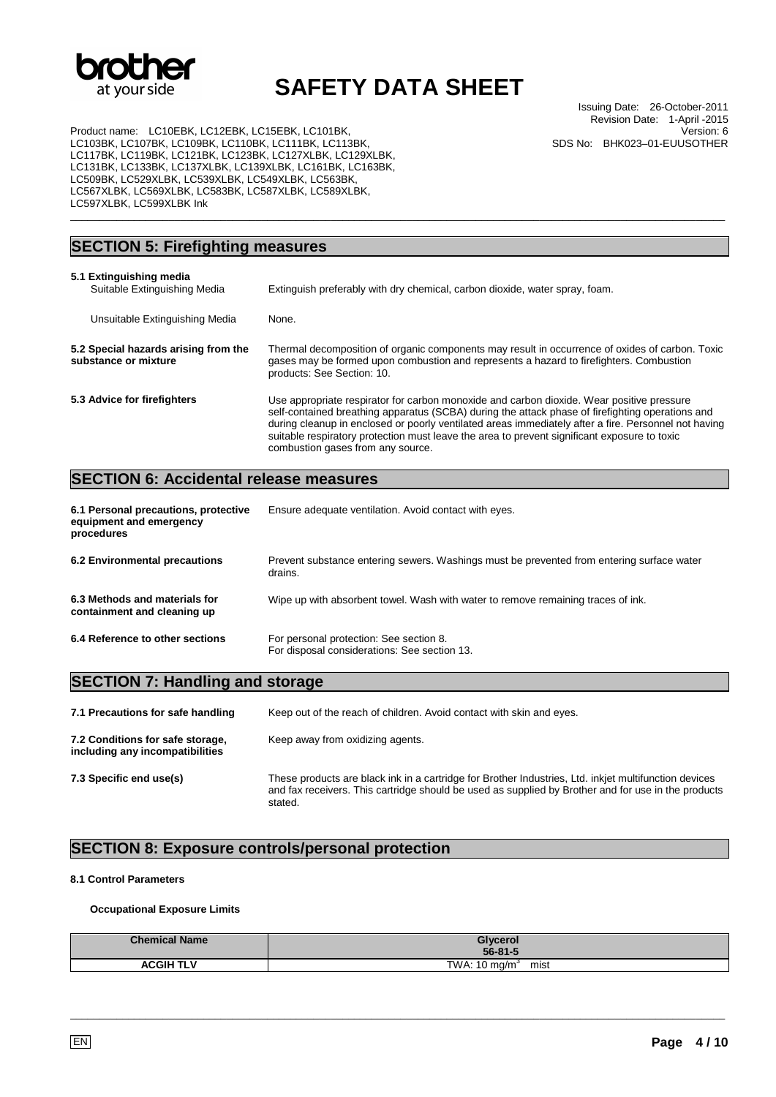

Issuing Date: 26-October-2011 Revision Date: 1-April -2015 Version: 6 SDS No: BHK023–01-EUUSOTHER

Product name: LC10EBK, LC12EBK, LC15EBK, LC101BK, LC103BK, LC107BK, LC109BK, LC110BK, LC111BK, LC113BK, LC117BK, LC119BK, LC121BK, LC123BK, LC127XLBK, LC129XLBK, LC131BK, LC133BK, LC137XLBK, LC139XLBK, LC161BK, LC163BK, LC509BK, LC529XLBK, LC539XLBK, LC549XLBK, LC563BK, LC567XLBK, LC569XLBK, LC583BK, LC587XLBK, LC589XLBK, LC597XLBK, LC599XLBK Ink

### **SECTION 5: Firefighting measures**

| 5.1 Extinguishing media<br>Suitable Extinguishing Media      | Extinguish preferably with dry chemical, carbon dioxide, water spray, foam.                                                                                                                                                                                                                                                                                                                                                                |
|--------------------------------------------------------------|--------------------------------------------------------------------------------------------------------------------------------------------------------------------------------------------------------------------------------------------------------------------------------------------------------------------------------------------------------------------------------------------------------------------------------------------|
| Unsuitable Extinguishing Media                               | None.                                                                                                                                                                                                                                                                                                                                                                                                                                      |
| 5.2 Special hazards arising from the<br>substance or mixture | Thermal decomposition of organic components may result in occurrence of oxides of carbon. Toxic<br>gases may be formed upon combustion and represents a hazard to firefighters. Combustion<br>products: See Section: 10.                                                                                                                                                                                                                   |
| 5.3 Advice for firefighters                                  | Use appropriate respirator for carbon monoxide and carbon dioxide. Wear positive pressure<br>self-contained breathing apparatus (SCBA) during the attack phase of firefighting operations and<br>during cleanup in enclosed or poorly ventilated areas immediately after a fire. Personnel not having<br>suitable respiratory protection must leave the area to prevent significant exposure to toxic<br>combustion gases from any source. |

\_\_\_\_\_\_\_\_\_\_\_\_\_\_\_\_\_\_\_\_\_\_\_\_\_\_\_\_\_\_\_\_\_\_\_\_\_\_\_\_\_\_\_\_\_\_\_\_\_\_\_\_\_\_\_\_\_\_\_\_\_\_\_\_\_\_\_\_\_\_\_\_\_\_\_\_\_\_\_\_\_\_\_\_\_\_\_\_\_\_\_\_\_\_\_\_\_\_\_\_\_\_\_\_\_\_\_\_\_\_\_\_\_

### **SECTION 6: Accidental release measures**

| 6.1 Personal precautions, protective<br>equipment and emergency<br>procedures | Ensure adequate ventilation. Avoid contact with eyes.                                                |
|-------------------------------------------------------------------------------|------------------------------------------------------------------------------------------------------|
| 6.2 Environmental precautions                                                 | Prevent substance entering sewers. Washings must be prevented from entering surface water<br>drains. |
| 6.3 Methods and materials for<br>containment and cleaning up                  | Wipe up with absorbent towel. Wash with water to remove remaining traces of ink.                     |
| 6.4 Reference to other sections                                               | For personal protection: See section 8.<br>For disposal considerations: See section 13.              |

### **SECTION 7: Handling and storage**

| 7.1 Precautions for safe handling                                   | Keep out of the reach of children. Avoid contact with skin and eyes.                                                                                                                                                    |
|---------------------------------------------------------------------|-------------------------------------------------------------------------------------------------------------------------------------------------------------------------------------------------------------------------|
| 7.2 Conditions for safe storage,<br>including any incompatibilities | Keep away from oxidizing agents.                                                                                                                                                                                        |
| 7.3 Specific end use(s)                                             | These products are black ink in a cartridge for Brother Industries, Ltd. inkjet multifunction devices<br>and fax receivers. This cartridge should be used as supplied by Brother and for use in the products<br>stated. |

## **SECTION 8: Exposure controls/personal protection**

### **8.1 Control Parameters**

#### **Occupational Exposure Limits**

| <b>Chemical Name</b> | Glycerol<br>$56 - 81 - 5$        |
|----------------------|----------------------------------|
| <b>ACGIH TLV</b>     | TWA: $10 \text{ mg/m}^3$<br>mist |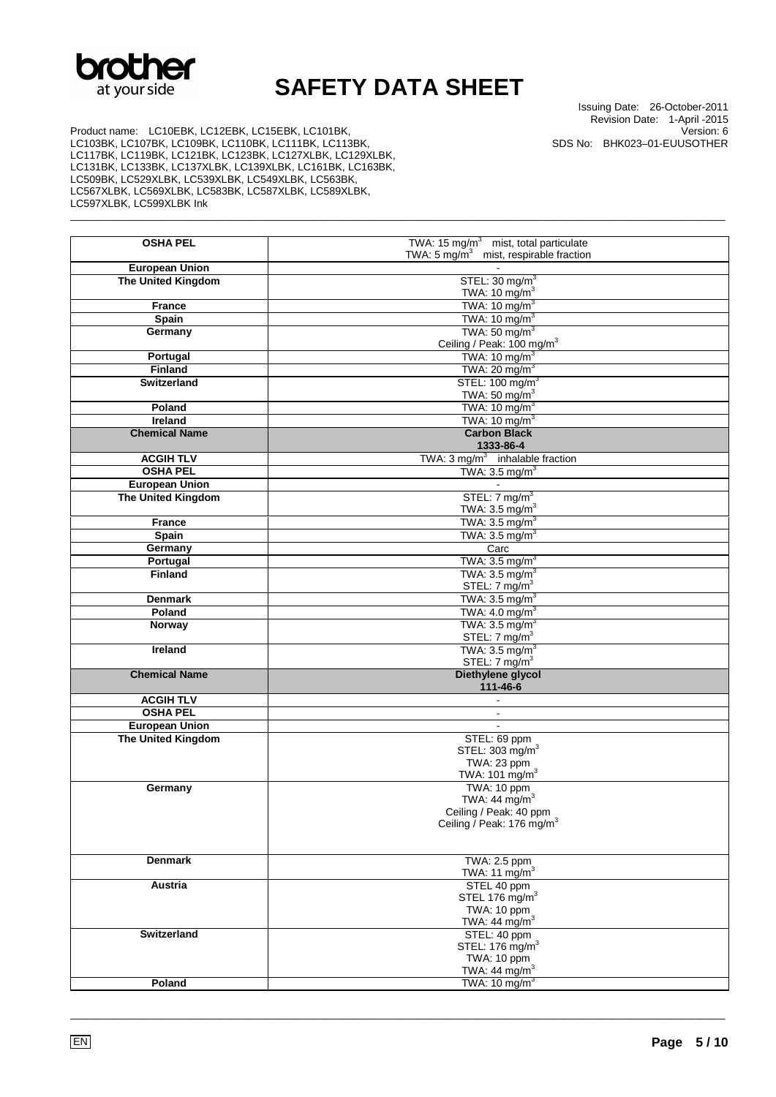

\_\_\_\_\_\_\_\_\_\_\_\_\_\_\_\_\_\_\_\_\_\_\_\_\_\_\_\_\_\_\_\_\_\_\_\_\_\_\_\_\_\_\_\_\_\_\_\_\_\_\_\_\_\_\_\_\_\_\_\_\_\_\_\_\_\_\_\_\_\_\_\_\_\_\_\_\_\_\_\_\_\_\_\_\_\_\_\_\_\_\_\_\_\_\_\_\_\_\_\_\_\_\_\_\_\_\_\_\_\_\_\_\_

Issuing Date: 26-October-2011 Revision Date: 1-April -2015 Version: 6 SDS No: BHK023–01-EUUSOTHER

Product name: LC10EBK, LC12EBK, LC15EBK, LC101BK, LC103BK, LC107BK, LC109BK, LC110BK, LC111BK, LC113BK, LC117BK, LC119BK, LC121BK, LC123BK, LC127XLBK, LC129XLBK, LC131BK, LC133BK, LC137XLBK, LC139XLBK, LC161BK, LC163BK, LC509BK, LC529XLBK, LC539XLBK, LC549XLBK, LC563BK, LC567XLBK, LC569XLBK, LC583BK, LC587XLBK, LC589XLBK, LC597XLBK, LC599XLBK Ink

| <b>OSHA PEL</b>           | TWA: $15 \text{ mg/m}^3$<br>mist, total particulate             |
|---------------------------|-----------------------------------------------------------------|
| <b>European Union</b>     | TWA: $5 \text{ mg/m}^3$<br>mist, respirable fraction            |
| <b>The United Kingdom</b> | STEL: $30 \text{ mg/m}^3$                                       |
|                           | TWA: 10 mg/m $3$                                                |
| <b>France</b>             | TWA: $10 \text{ mg/m}^3$                                        |
| Spain                     | TWA: 10 mg/m <sup>3</sup>                                       |
| Germany                   | TWA: $50 \text{ mg/m}^3$                                        |
|                           | Ceiling / Peak: 100 mg/m <sup>3</sup>                           |
| Portugal                  | TWA: $10 \text{ mg/m}^3$                                        |
| <b>Finland</b>            | TWA: $20 \text{ mg/m}^3$                                        |
| <b>Switzerland</b>        | STEL: 100 mg/m <sup>3</sup>                                     |
|                           | TWA: 50 mg/ $m3$                                                |
| Poland                    | TWA: $10 \text{ mg/m}^3$                                        |
| Ireland                   | TWA: 10 mg/m <sup>3</sup><br><b>Carbon Black</b>                |
| <b>Chemical Name</b>      | 1333-86-4                                                       |
| <b>ACGIH TLV</b>          | TWA: $3 \text{ mg/m}^3$ inhalable fraction                      |
| <b>OSHA PEL</b>           | TWA: $3.5 \text{ mg/m}^3$                                       |
| <b>European Union</b>     |                                                                 |
| The United Kingdom        | STEL: $7 \text{ mg/m}^3$                                        |
|                           | TWA: $3.5 \text{ mg/m}^3$                                       |
| <b>France</b>             | TWA: $3.5 \text{ mg/m}^3$                                       |
| Spain                     | TWA: $3.5 \text{ mg/m}^3$                                       |
| Germany                   | Carc                                                            |
| Portugal                  | TWA: $3.5 \text{ mg/m}^3$                                       |
| <b>Finland</b>            | TWA: $3.5 \text{ mg/m}^3$<br>STEL: $7 \text{ mg/m}^3$           |
| <b>Denmark</b>            | TWA: $3.5 \text{ mg/m}^3$                                       |
| Poland                    | TWA: $4.0 \text{ mg/m}^3$                                       |
| Norway                    | TWA: $3.5 \text{ mg/m}^3$                                       |
|                           | STEL: $7 \text{ mg/m}^3$                                        |
| Ireland                   | TWA: $3.5 \text{ mg/m}^3$                                       |
|                           | STEL: 7 mg/m <sup>3</sup>                                       |
| <b>Chemical Name</b>      | Diethylene glycol<br>111-46-6                                   |
| <b>ACGIH TLV</b>          |                                                                 |
| <b>OSHA PEL</b>           | $\blacksquare$                                                  |
| <b>European Union</b>     |                                                                 |
| The United Kingdom        | STEL: 69 ppm                                                    |
|                           | STEL: $303 \text{ mg/m}^3$                                      |
|                           | TWA: 23 ppm                                                     |
|                           | TWA: 101 mg/m <sup>3</sup>                                      |
| Germany                   | TWA: 10 ppm                                                     |
|                           | TWA: 44 $mg/m3$                                                 |
|                           | Ceiling / Peak: 40 ppm<br>Ceiling / Peak: 176 mg/m <sup>3</sup> |
|                           |                                                                 |
|                           |                                                                 |
| <b>Denmark</b>            | TWA: 2.5 ppm                                                    |
|                           | TWA: 11 mg/m <sup>3</sup>                                       |
| Austria                   | STEL 40 ppm                                                     |
|                           | STEL 176 $mg/m3$                                                |
|                           | TWA: 10 ppm<br>TWA: $44 \text{ mg/m}^3$                         |
| Switzerland               | STEL: 40 ppm                                                    |
|                           | STEL: 176 mg/m <sup>3</sup>                                     |
|                           | <b>TWA: 10 ppm</b>                                              |
|                           | TWA: 44 mg/m <sup>3</sup>                                       |
| Poland                    | TWA: $10 \text{ mg/m}^3$                                        |
|                           |                                                                 |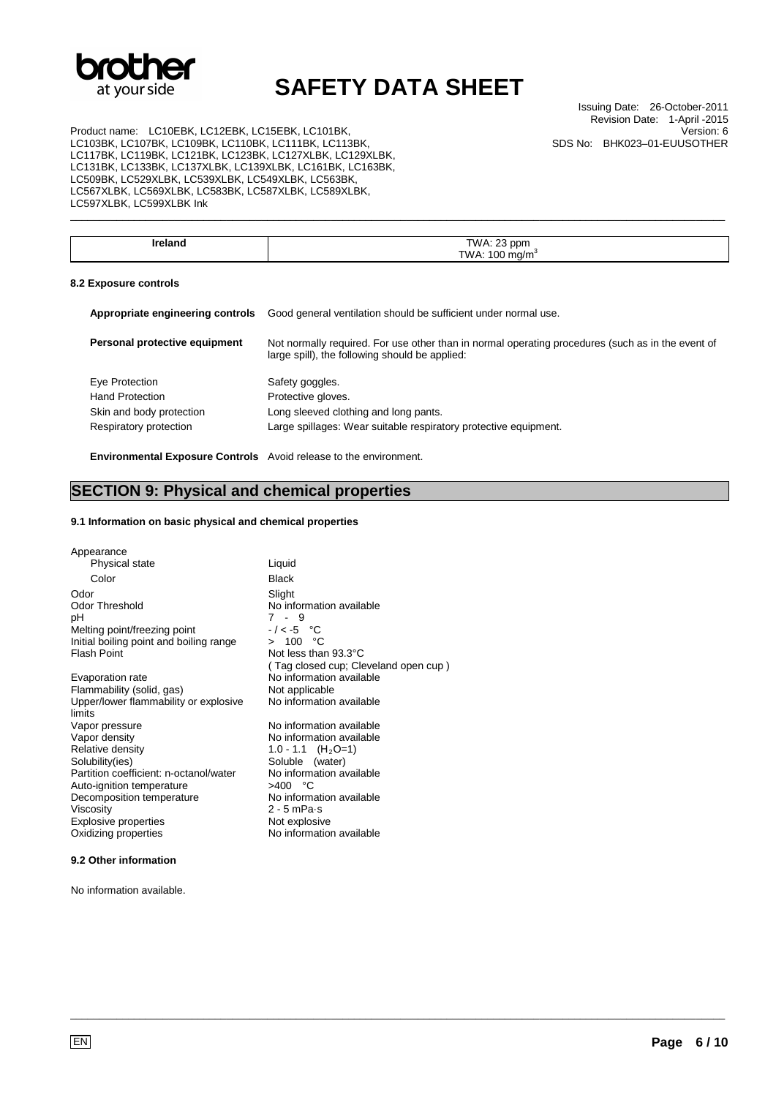

Issuing Date: 26-October-2011 Revision Date: 1-April -2015 Version: 6 SDS No: BHK023–01-EUUSOTHER

Product name: LC10EBK, LC12EBK, LC15EBK, LC101BK, LC103BK, LC107BK, LC109BK, LC110BK, LC111BK, LC113BK, LC117BK, LC119BK, LC121BK, LC123BK, LC127XLBK, LC129XLBK, LC131BK, LC133BK, LC137XLBK, LC139XLBK, LC161BK, LC163BK, LC509BK, LC529XLBK, LC539XLBK, LC549XLBK, LC563BK, LC567XLBK, LC569XLBK, LC583BK, LC587XLBK, LC589XLBK, LC597XLBK, LC599XLBK Ink

| nα | <b>TWA: 23</b><br>opm |
|----|-----------------------|
|    |                       |
|    | OC<br>TWA.<br>ma/m    |
|    |                       |

\_\_\_\_\_\_\_\_\_\_\_\_\_\_\_\_\_\_\_\_\_\_\_\_\_\_\_\_\_\_\_\_\_\_\_\_\_\_\_\_\_\_\_\_\_\_\_\_\_\_\_\_\_\_\_\_\_\_\_\_\_\_\_\_\_\_\_\_\_\_\_\_\_\_\_\_\_\_\_\_\_\_\_\_\_\_\_\_\_\_\_\_\_\_\_\_\_\_\_\_\_\_\_\_\_\_\_\_\_\_\_\_\_

#### **8.2 Exposure controls**

| Good general ventilation should be sufficient under normal use.                                                                                     |
|-----------------------------------------------------------------------------------------------------------------------------------------------------|
| Not normally required. For use other than in normal operating procedures (such as in the event of<br>large spill), the following should be applied: |
| Safety goggles.                                                                                                                                     |
| Protective gloves.                                                                                                                                  |
| Long sleeved clothing and long pants.                                                                                                               |
| Large spillages: Wear suitable respiratory protective equipment.                                                                                    |
|                                                                                                                                                     |
|                                                                                                                                                     |

\_\_\_\_\_\_\_\_\_\_\_\_\_\_\_\_\_\_\_\_\_\_\_\_\_\_\_\_\_\_\_\_\_\_\_\_\_\_\_\_\_\_\_\_\_\_\_\_\_\_\_\_\_\_\_\_\_\_\_\_\_\_\_\_\_\_\_\_\_\_\_\_\_\_\_\_\_\_\_\_\_\_\_\_\_\_\_\_\_\_\_\_\_\_\_\_\_\_\_\_\_\_\_\_\_\_\_\_\_\_\_\_\_

**Environmental Exposure Controls** Avoid release to the environment.

### **SECTION 9: Physical and chemical properties**

### **9.1 Information on basic physical and chemical properties**

| Appearance                                      |                                      |
|-------------------------------------------------|--------------------------------------|
| Physical state                                  | Liquid                               |
| Color                                           | <b>Black</b>                         |
| Odor                                            | Slight                               |
| Odor Threshold                                  | No information available             |
| рH                                              | 7 - 9                                |
| Melting point/freezing point                    | $-/-5$ °C                            |
| Initial boiling point and boiling range         | > 100 °C                             |
| <b>Flash Point</b>                              | Not less than 93.3°C                 |
|                                                 | (Tag closed cup; Cleveland open cup) |
| Evaporation rate                                | No information available             |
| Flammability (solid, gas)                       | Not applicable                       |
| Upper/lower flammability or explosive<br>limits | No information available             |
| Vapor pressure                                  | No information available             |
| Vapor density                                   | No information available             |
| Relative density                                | 1.0 - 1.1 $(H_2O=1)$                 |
| Solubility(ies)                                 | Soluble (water)                      |
| Partition coefficient: n-octanol/water          | No information available             |
| Auto-ignition temperature                       | >400 °C                              |
| Decomposition temperature                       | No information available             |
| Viscosity                                       | $2 - 5$ mPa $\cdot$ s                |
| <b>Explosive properties</b>                     | Not explosive                        |
| Oxidizing properties                            | No information available             |
|                                                 |                                      |

### **9.2 Other information**

No information available.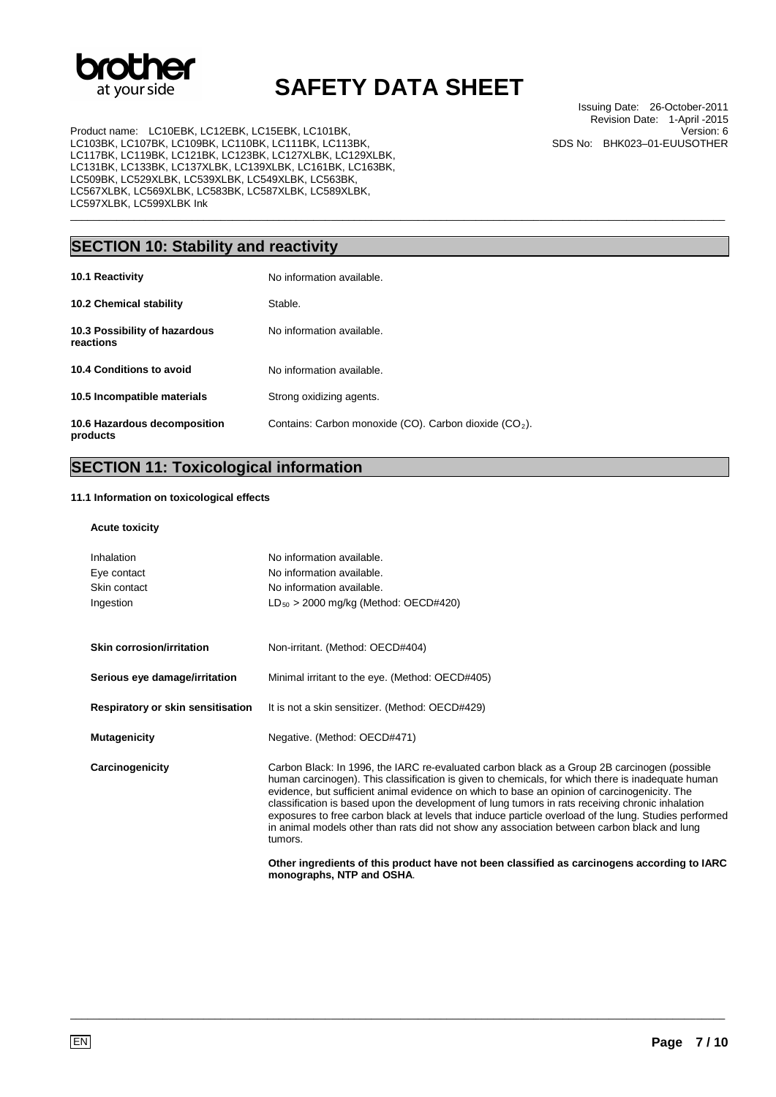

\_\_\_\_\_\_\_\_\_\_\_\_\_\_\_\_\_\_\_\_\_\_\_\_\_\_\_\_\_\_\_\_\_\_\_\_\_\_\_\_\_\_\_\_\_\_\_\_\_\_\_\_\_\_\_\_\_\_\_\_\_\_\_\_\_\_\_\_\_\_\_\_\_\_\_\_\_\_\_\_\_\_\_\_\_\_\_\_\_\_\_\_\_\_\_\_\_\_\_\_\_\_\_\_\_\_\_\_\_\_\_\_\_

Product name: LC10EBK, LC12EBK, LC15EBK, LC101BK, LC103BK, LC107BK, LC109BK, LC110BK, LC111BK, LC113BK, LC117BK, LC119BK, LC121BK, LC123BK, LC127XLBK, LC129XLBK, LC131BK, LC133BK, LC137XLBK, LC139XLBK, LC161BK, LC163BK, LC509BK, LC529XLBK, LC539XLBK, LC549XLBK, LC563BK, LC567XLBK, LC569XLBK, LC583BK, LC587XLBK, LC589XLBK, LC597XLBK, LC599XLBK Ink

Issuing Date: 26-October-2011 Revision Date: 1-April -2015 Version: 6 SDS No: BHK023–01-EUUSOTHER

## **SECTION 10: Stability and reactivity**

| 10.1 Reactivity                            | No information available.                                |
|--------------------------------------------|----------------------------------------------------------|
| <b>10.2 Chemical stability</b>             | Stable.                                                  |
| 10.3 Possibility of hazardous<br>reactions | No information available.                                |
| 10.4 Conditions to avoid                   | No information available.                                |
| 10.5 Incompatible materials                | Strong oxidizing agents.                                 |
| 10.6 Hazardous decomposition<br>products   | Contains: Carbon monoxide (CO). Carbon dioxide $(CO2)$ . |

### **SECTION 11: Toxicological information**

### **11.1 Information on toxicological effects**

### **Acute toxicity**

| Inhalation<br>Eye contact<br>Skin contact<br>Ingestion | No information available.<br>No information available.<br>No information available.<br>$LD_{50} > 2000$ mg/kg (Method: OECD#420)                                                                                                                                                                                                                                                                                                                                                                                                                                                                                         |
|--------------------------------------------------------|--------------------------------------------------------------------------------------------------------------------------------------------------------------------------------------------------------------------------------------------------------------------------------------------------------------------------------------------------------------------------------------------------------------------------------------------------------------------------------------------------------------------------------------------------------------------------------------------------------------------------|
| <b>Skin corrosion/irritation</b>                       | Non-irritant. (Method: OECD#404)                                                                                                                                                                                                                                                                                                                                                                                                                                                                                                                                                                                         |
| Serious eye damage/irritation                          | Minimal irritant to the eye. (Method: OECD#405)                                                                                                                                                                                                                                                                                                                                                                                                                                                                                                                                                                          |
| Respiratory or skin sensitisation                      | It is not a skin sensitizer. (Method: OECD#429)                                                                                                                                                                                                                                                                                                                                                                                                                                                                                                                                                                          |
| <b>Mutagenicity</b>                                    | Negative. (Method: OECD#471)                                                                                                                                                                                                                                                                                                                                                                                                                                                                                                                                                                                             |
| Carcinogenicity                                        | Carbon Black: In 1996, the IARC re-evaluated carbon black as a Group 2B carcinogen (possible<br>human carcinogen). This classification is given to chemicals, for which there is inadequate human<br>evidence, but sufficient animal evidence on which to base an opinion of carcinogenicity. The<br>classification is based upon the development of lung tumors in rats receiving chronic inhalation<br>exposures to free carbon black at levels that induce particle overload of the lung. Studies performed<br>in animal models other than rats did not show any association between carbon black and lung<br>tumors. |
|                                                        | Other ingredients of this product have not been classified as carcinogens according to IARC<br>monographs, NTP and OSHA.                                                                                                                                                                                                                                                                                                                                                                                                                                                                                                 |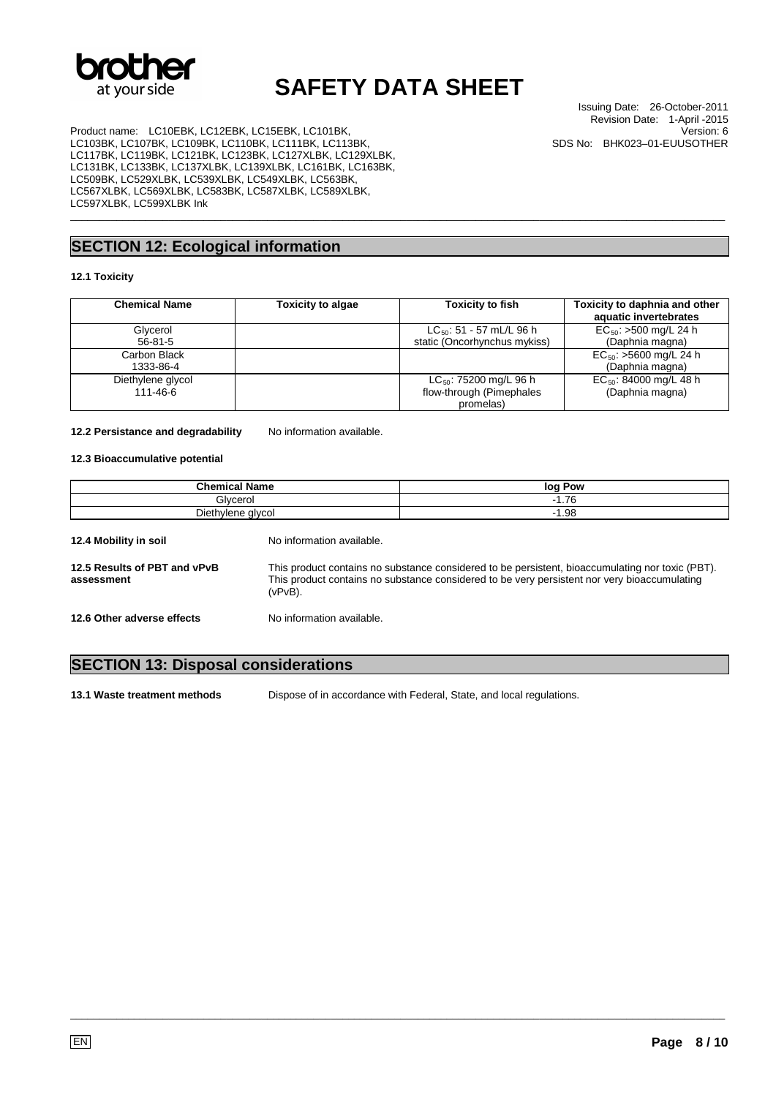

Issuing Date: 26-October-2011 Revision Date: 1-April -2015 Version: 6 SDS No: BHK023–01-EUUSOTHER

Product name: LC10EBK, LC12EBK, LC15EBK, LC101BK, LC103BK, LC107BK, LC109BK, LC110BK, LC111BK, LC113BK, LC117BK, LC119BK, LC121BK, LC123BK, LC127XLBK, LC129XLBK, LC131BK, LC133BK, LC137XLBK, LC139XLBK, LC161BK, LC163BK, LC509BK, LC529XLBK, LC539XLBK, LC549XLBK, LC563BK, LC567XLBK, LC569XLBK, LC583BK, LC587XLBK, LC589XLBK, LC597XLBK, LC599XLBK Ink

## **SECTION 12: Ecological information**

### **12.1 Toxicity**

| <b>Chemical Name</b> | <b>Toxicity to algae</b> | <b>Toxicity to fish</b>       | Toxicity to daphnia and other<br>aquatic invertebrates |
|----------------------|--------------------------|-------------------------------|--------------------------------------------------------|
| Glycerol             |                          | $LC_{50}$ : 51 - 57 mL/L 96 h | $EC_{50}$ : >500 mg/L 24 h                             |
| $56 - 81 - 5$        |                          | static (Oncorhynchus mykiss)  | (Daphnia magna)                                        |
| Carbon Black         |                          |                               | $EC_{50}$ : >5600 mg/L 24 h                            |
| 1333-86-4            |                          |                               | (Daphnia magna)                                        |
| Diethylene glycol    |                          | $LC_{50}$ : 75200 mg/L 96 h   | $EC_{50}$ : 84000 mg/L 48 h                            |
| 111-46-6             |                          | flow-through (Pimephales      | (Daphnia magna)                                        |
|                      |                          | promelas)                     |                                                        |

\_\_\_\_\_\_\_\_\_\_\_\_\_\_\_\_\_\_\_\_\_\_\_\_\_\_\_\_\_\_\_\_\_\_\_\_\_\_\_\_\_\_\_\_\_\_\_\_\_\_\_\_\_\_\_\_\_\_\_\_\_\_\_\_\_\_\_\_\_\_\_\_\_\_\_\_\_\_\_\_\_\_\_\_\_\_\_\_\_\_\_\_\_\_\_\_\_\_\_\_\_\_\_\_\_\_\_\_\_\_\_\_\_

#### 12.2 Persistance and degradability No information available.

#### **12.3 Bioaccumulative potential**

| <b>Chemical Name</b><br>Glvcerol<br>Diethylene glycol |                           | log Pow<br>$-1.76$<br>$-1.98$ |                                            |                           |                                                                                                                                                                                                  |
|-------------------------------------------------------|---------------------------|-------------------------------|--------------------------------------------|---------------------------|--------------------------------------------------------------------------------------------------------------------------------------------------------------------------------------------------|
|                                                       |                           |                               | 12.4 Mobility in soil                      | No information available. |                                                                                                                                                                                                  |
|                                                       |                           |                               | 12.5 Results of PBT and vPvB<br>assessment | (vPvB).                   | This product contains no substance considered to be persistent, bioaccumulating nor toxic (PBT).<br>This product contains no substance considered to be very persistent nor very bioaccumulating |
| 12.6 Other adverse effects                            | No information available. |                               |                                            |                           |                                                                                                                                                                                                  |

### **SECTION 13: Disposal considerations**

**13.1 Waste treatment methods** Dispose of in accordance with Federal, State, and local regulations.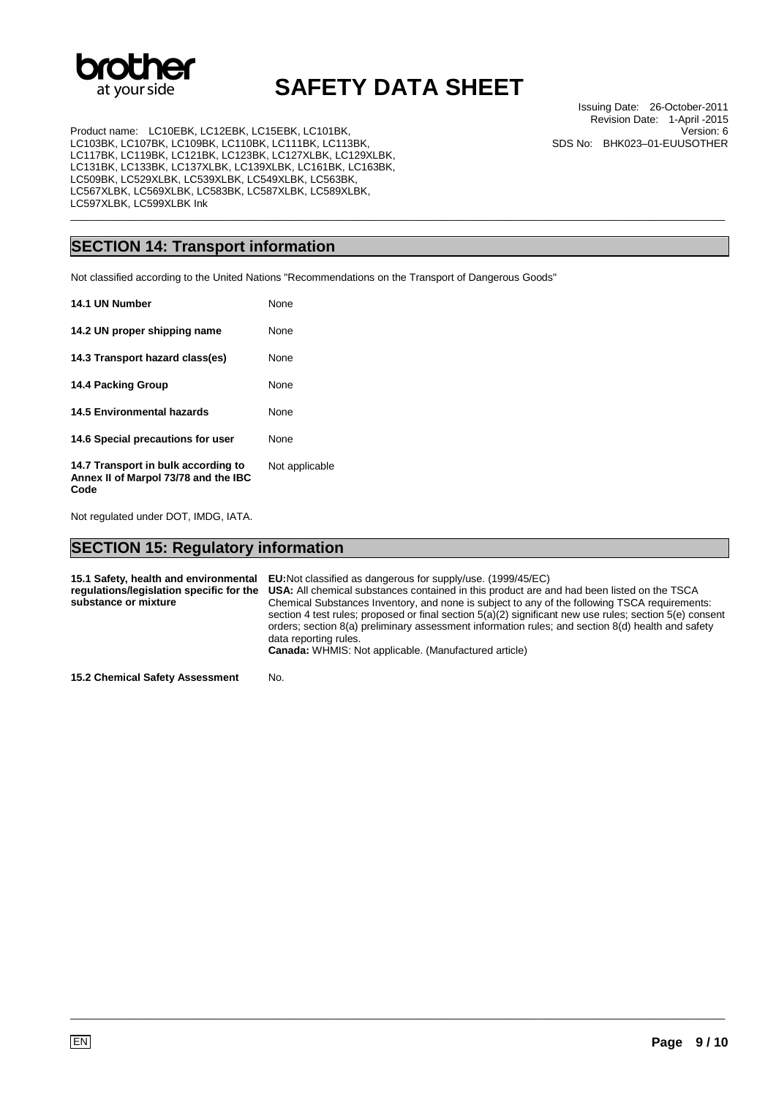

\_\_\_\_\_\_\_\_\_\_\_\_\_\_\_\_\_\_\_\_\_\_\_\_\_\_\_\_\_\_\_\_\_\_\_\_\_\_\_\_\_\_\_\_\_\_\_\_\_\_\_\_\_\_\_\_\_\_\_\_\_\_\_\_\_\_\_\_\_\_\_\_\_\_\_\_\_\_\_\_\_\_\_\_\_\_\_\_\_\_\_\_\_\_\_\_\_\_\_\_\_\_\_\_\_\_\_\_\_\_\_\_\_

Product name: LC10EBK, LC12EBK, LC15EBK, LC101BK, LC103BK, LC107BK, LC109BK, LC110BK, LC111BK, LC113BK, LC117BK, LC119BK, LC121BK, LC123BK, LC127XLBK, LC129XLBK, LC131BK, LC133BK, LC137XLBK, LC139XLBK, LC161BK, LC163BK, LC509BK, LC529XLBK, LC539XLBK, LC549XLBK, LC563BK, LC567XLBK, LC569XLBK, LC583BK, LC587XLBK, LC589XLBK, LC597XLBK, LC599XLBK Ink

## **SECTION 14: Transport information**

Not classified according to the United Nations "Recommendations on the Transport of Dangerous Goods"

| 14.1 UN Number                                                                      | <b>None</b>    |
|-------------------------------------------------------------------------------------|----------------|
| 14.2 UN proper shipping name                                                        | <b>None</b>    |
| 14.3 Transport hazard class(es)                                                     | None           |
| 14.4 Packing Group                                                                  | <b>None</b>    |
| <b>14.5 Environmental hazards</b>                                                   | <b>None</b>    |
| 14.6 Special precautions for user                                                   | None           |
| 14.7 Transport in bulk according to<br>Annex II of Marpol 73/78 and the IBC<br>Code | Not applicable |

Not regulated under DOT, IMDG, IATA.

### **SECTION 15: Regulatory information**

| substance or mixture | 15.1 Safety, health and environmental EU:Not classified as dangerous for supply/use. (1999/45/EC)<br>requlations/legislation specific for the USA: All chemical substances contained in this product are and had been listed on the TSCA<br>Chemical Substances Inventory, and none is subject to any of the following TSCA requirements:<br>section 4 test rules; proposed or final section 5(a)(2) significant new use rules; section 5(e) consent<br>orders; section 8(a) preliminary assessment information rules; and section 8(d) health and safety<br>data reporting rules.<br><b>Canada:</b> WHMIS: Not applicable. (Manufactured article) |
|----------------------|----------------------------------------------------------------------------------------------------------------------------------------------------------------------------------------------------------------------------------------------------------------------------------------------------------------------------------------------------------------------------------------------------------------------------------------------------------------------------------------------------------------------------------------------------------------------------------------------------------------------------------------------------|
|                      |                                                                                                                                                                                                                                                                                                                                                                                                                                                                                                                                                                                                                                                    |

\_\_\_\_\_\_\_\_\_\_\_\_\_\_\_\_\_\_\_\_\_\_\_\_\_\_\_\_\_\_\_\_\_\_\_\_\_\_\_\_\_\_\_\_\_\_\_\_\_\_\_\_\_\_\_\_\_\_\_\_\_\_\_\_\_\_\_\_\_\_\_\_\_\_\_\_\_\_\_\_\_\_\_\_\_\_\_\_\_\_\_\_\_\_\_\_\_\_\_\_\_\_\_\_\_\_\_\_\_\_\_\_\_

**15.2 Chemical Safety Assessment** No.

Issuing Date: 26-October-2011